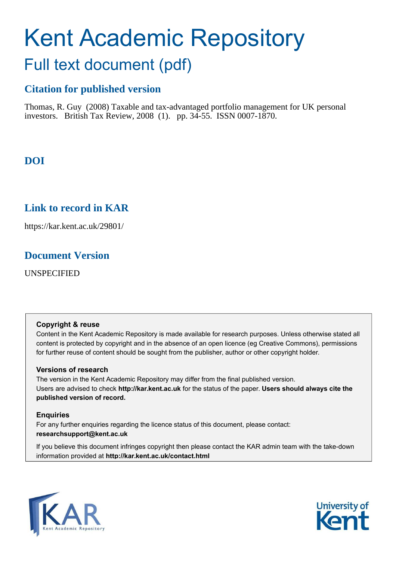# Kent Academic Repository Full text document (pdf)

## **Citation for published version**

Thomas, R. Guy (2008) Taxable and tax-advantaged portfolio management for UK personal investors. British Tax Review, 2008 (1). pp. 34-55. ISSN 0007-1870.

## **DOI**

## **Link to record in KAR**

https://kar.kent.ac.uk/29801/

## **Document Version**

UNSPECIFIED

#### **Copyright & reuse**

Content in the Kent Academic Repository is made available for research purposes. Unless otherwise stated all content is protected by copyright and in the absence of an open licence (eg Creative Commons), permissions for further reuse of content should be sought from the publisher, author or other copyright holder.

#### **Versions of research**

The version in the Kent Academic Repository may differ from the final published version. Users are advised to check **http://kar.kent.ac.uk** for the status of the paper. **Users should always cite the published version of record.**

#### **Enquiries**

For any further enquiries regarding the licence status of this document, please contact: **researchsupport@kent.ac.uk**

If you believe this document infringes copyright then please contact the KAR admin team with the take-down information provided at **http://kar.kent.ac.uk/contact.html**



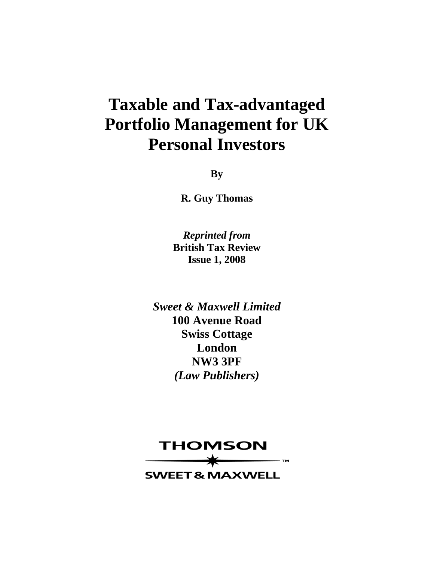## **Taxable and Tax-advantaged Portfolio Management for UK Personal Investors**

**By** 

**R. Guy Thomas** 

*Reprinted from*  **British Tax Review Issue 1, 2008** 

*Sweet & Maxwell Limited*  **100 Avenue Road Swiss Cottage London NW3 3PF**  *(Law Publishers)*

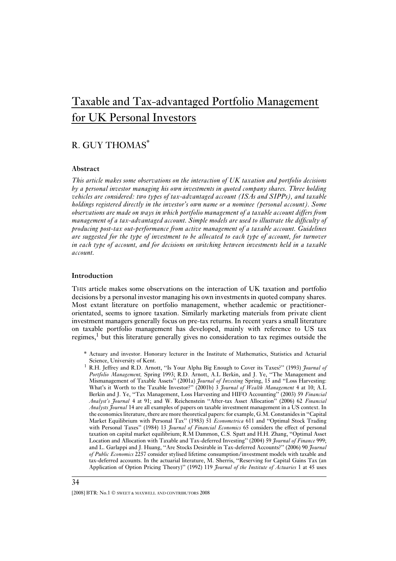## Taxable and Tax-advantaged Portfolio Management for UK Personal Investors

### R. GUY THOMAS\*

#### **Abstract**

*This article makes some observations on the interaction of UK taxation and portfolio decisions by a personal investor managing his own investments in quoted company shares. Three holding vehicles are considered: two types of tax-advantaged account (ISAs and SIPPs), and taxable holdings registered directly in the investor's own name or a nominee (personal account). Some observations are made on ways in which portfolio management of a taxable account differs from management of a tax-advantaged account. Simple models are used to illustrate the difficulty of producing post-tax out-performance from active management of a taxable account. Guidelines are suggested for the type of investment to be allocated to each type of account, for turnover in each type of account, and for decisions on switching between investments held in a taxable account.*

#### **Introduction**

THIS article makes some observations on the interaction of UK taxation and portfolio decisions by a personal investor managing his own investments in quoted company shares. Most extant literature on portfolio management, whether academic or practitionerorientated, seems to ignore taxation. Similarly marketing materials from private client investment managers generally focus on pre-tax returns. In recent years a small literature on taxable portfolio management has developed, mainly with reference to US tax regimes, $\frac{1}{2}$  but this literature generally gives no consideration to tax regimes outside the

- \* Actuary and investor. Honorary lecturer in the Institute of Mathematics, Statistics and Actuarial Science, University of Kent.
- <sup>1</sup> R.H. Jeffrey and R.D. Arnott, ''Is Your Alpha Big Enough to Cover its Taxes?'' (1993) *Journal of Portfolio Management,* Spring 1993; R.D. Arnott, A.L Berkin, and J. Ye, ''The Management and Mismanagement of Taxable Assets'' (2001a) *Journal of Investing* Spring, 15 and ''Loss Harvesting: What's it Worth to the Taxable Investor?'' (2001b) 3 *Journal of Wealth Management* 4 at 10; A.L Berkin and J. Ye, ''Tax Management, Loss Harvesting and HIFO Accounting'' (2003) 59 *Financial Analyst's Journal* 4 at 91; and W. Reichenstein ''After-tax Asset Allocation'' (2006) 62 *Financial Analysts Journal* 14 are all examples of papers on taxable investment management in a US context. In the economics literature, there are more theoretical papers: for example, G.M. Constanides in ''Capital Market Equilibrium with Personal Tax'' (1983) 51 *Econometrica* 611 and ''Optimal Stock Trading with Personal Taxes'' (1984) 13 *Journal of Financial Economics* 65 considers the effect of personal taxation on capital market equilibrium; R.M Dammon, C.S. Spatt and H.H. Zhang, ''Optimal Asset Location and Allocation with Taxable and Tax-deferred Investing'' (2004) 59 *Journal of Finance* 999; and L. Garlappi and J. Huang, ''Are Stocks Desirable in Tax-deferred Accounts?'' (2006) 90 *Journal of Public Economics* 2257 consider stylised lifetime consumption/investment models with taxable and tax-deferred accounts. In the actuarial literature, M. Sherris, ''Reserving for Capital Gains Tax (an Application of Option Pricing Theory)'' (1992) 119 *Journal of the Institute of Actuaries* 1 at 45 uses

<sup>[2008]</sup> BTR: No.1  $\odot$  sweet & MAXWELL AND CONTRIBUTORS 2008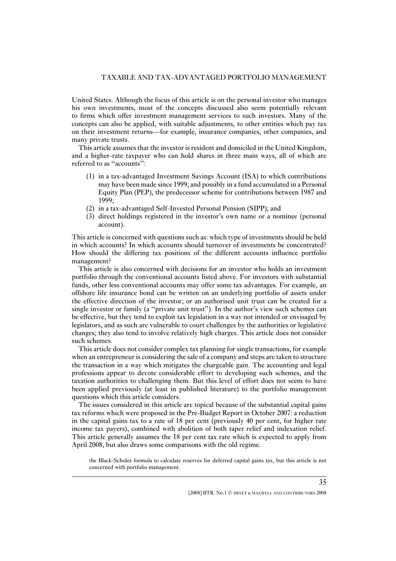United States. Although the focus of this article is on the personal investor who manages his own investments, most of the concepts discussed also seem potentially relevant to firms which offer investment management services to such investors. Many of the concepts can also be applied, with suitable adjustments, to other entities which pay tax on their investment returns—for example, insurance companies, other companies, and many private trusts.

This article assumes that the investor is resident and domiciled in the United Kingdom, and a higher-rate taxpayer who can hold shares in three main ways, all of which are referred to as "accounts":

- (1) in a tax-advantaged Investment Savings Account (ISA) to which contributions may have been made since 1999; and possibly in a fund accumulated in a Personal Equity Plan (PEP), the predecessor scheme for contributions between 1987 and 1999;
- (2) in a tax-advantaged Self-Invested Personal Pension (SIPP); and
- (3) direct holdings registered in the investor's own name or a nominee (personal account).

This article is concerned with questions such as: which type of investments should be held in which accounts? In which accounts should turnover of investments be concentrated? How should the differing tax positions of the different accounts influence portfolio management?

This article is also concerned with decisions for an investor who holds an investment portfolio through the conventional accounts listed above. For investors with substantial funds, other less conventional accounts may offer some tax advantages. For example, an offshore life insurance bond can be written on an underlying portfolio of assets under the effective direction of the investor; or an authorised unit trust can be created for a single investor or family (a ''private unit trust''). In the author's view such schemes can be effective, but they tend to exploit tax legislation in a way not intended or envisaged by legislators, and as such are vulnerable to court challenges by the authorities or legislative changes; they also tend to involve relatively high charges. This article does not consider such schemes.

This article does not consider complex tax planning for single transactions, for example when an entrepreneur is considering the sale of a company and steps are taken to structure the transaction in a way which mitigates the chargeable gain. The accounting and legal professions appear to devote considerable effort to developing such schemes, and the taxation authorities to challenging them. But this level of effort does not seem to have been applied previously (at least in published literature) to the portfolio management questions which this article considers.

The issues considered in this article are topical because of the substantial capital gains tax reforms which were proposed in the Pre-Budget Report in October 2007: a reduction in the capital gains tax to a rate of 18 per cent (previously 40 per cent, for higher rate income tax payers), combined with abolition of both taper relief and indexation relief. This article generally assumes the 18 per cent tax rate which is expected to apply from April 2008, but also draws some comparisons with the old regime.

the Black-Scholes formula to calculate reserves for deferred capital gains tax, but this article is not concerned with portfolio management.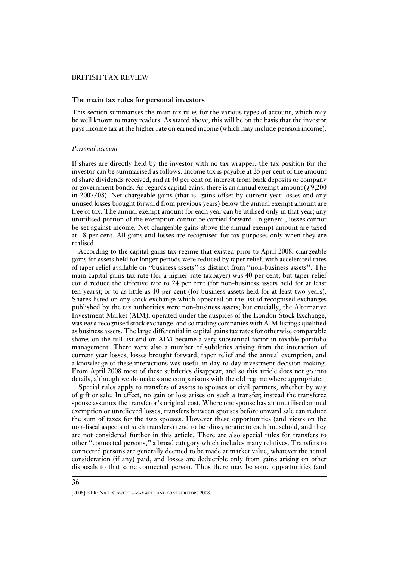#### **The main tax rules for personal investors**

This section summarises the main tax rules for the various types of account, which may be well known to many readers. As stated above, this will be on the basis that the investor pays income tax at the higher rate on earned income (which may include pension income).

#### *Personal account*

If shares are directly held by the investor with no tax wrapper, the tax position for the investor can be summarised as follows. Income tax is payable at 25 per cent of the amount of share dividends received, and at 40 per cent on interest from bank deposits or company or government bonds. As regards capital gains, there is an annual exempt amount  $(f, 9,200)$ in 2007/08). Net chargeable gains (that is, gains offset by current year losses and any unused losses brought forward from previous years) below the annual exempt amount are free of tax. The annual exempt amount for each year can be utilised only in that year; any unutilised portion of the exemption cannot be carried forward. In general, losses cannot be set against income. Net chargeable gains above the annual exempt amount are taxed at 18 per cent. All gains and losses are recognised for tax purposes only when they are realised.

According to the capital gains tax regime that existed prior to April 2008, chargeable gains for assets held for longer periods were reduced by taper relief, with accelerated rates of taper relief available on ''business assets'' as distinct from ''non-business assets''. The main capital gains tax rate (for a higher-rate taxpayer) was 40 per cent; but taper relief could reduce the effective rate to 24 per cent (for non-business assets held for at least ten years); or to as little as 10 per cent (for business assets held for at least two years). Shares listed on any stock exchange which appeared on the list of recognised exchanges published by the tax authorities were non-business assets; but crucially, the Alternative Investment Market (AIM), operated under the auspices of the London Stock Exchange, was *not* a recognised stock exchange, and so trading companies with AIM listings qualified as business assets. The large differential in capital gains tax rates for otherwise comparable shares on the full list and on AIM became a very substantial factor in taxable portfolio management. There were also a number of subtleties arising from the interaction of current year losses, losses brought forward, taper relief and the annual exemption, and a knowledge of these interactions was useful in day-to-day investment decision-making. From April 2008 most of these subtleties disappear, and so this article does not go into details, although we do make some comparisons with the old regime where appropriate.

Special rules apply to transfers of assets to spouses or civil partners, whether by way of gift or sale. In effect, no gain or loss arises on such a transfer; instead the transferee spouse assumes the transferor's original cost. Where one spouse has an unutilised annual exemption or unrelieved losses, transfers between spouses before onward sale can reduce the sum of taxes for the two spouses. However these opportunities (and views on the non-fiscal aspects of such transfers) tend to be idiosyncratic to each household, and they are not considered further in this article. There are also special rules for transfers to other ''connected persons,'' a broad category which includes many relatives. Transfers to connected persons are generally deemed to be made at market value, whatever the actual consideration (if any) paid, and losses are deductible only from gains arising on other disposals to that same connected person. Thus there may be some opportunities (and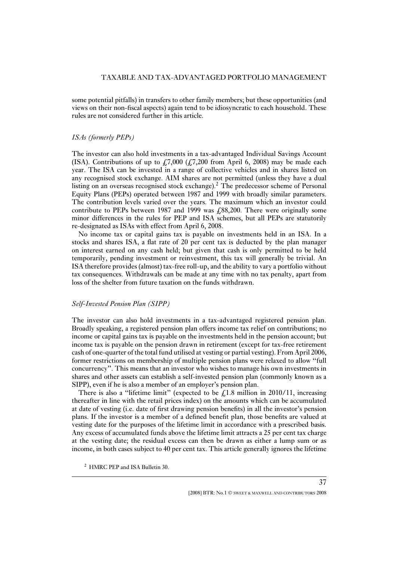some potential pitfalls) in transfers to other family members; but these opportunities (and views on their non-fiscal aspects) again tend to be idiosyncratic to each household. These rules are not considered further in this article.

#### *ISAs (formerly PEPs)*

The investor can also hold investments in a tax-advantaged Individual Savings Account (ISA). Contributions of up to  $\frac{1}{2}$ , 7,000 ( $\frac{1}{2}$ , 7,200 from April 6, 2008) may be made each year. The ISA can be invested in a range of collective vehicles and in shares listed on any recognised stock exchange. AIM shares are not permitted (unless they have a dual listing on an overseas recognised stock exchange).<sup>2</sup> The predecessor scheme of Personal Equity Plans (PEPs) operated between 1987 and 1999 with broadly similar parameters. The contribution levels varied over the years. The maximum which an investor could contribute to PEPs between 1987 and 1999 was  $\ell$ , 88,200. There were originally some minor differences in the rules for PEP and ISA schemes, but all PEPs are statutorily re-designated as ISAs with effect from April 6, 2008.

No income tax or capital gains tax is payable on investments held in an ISA. In a stocks and shares ISA, a flat rate of 20 per cent tax is deducted by the plan manager on interest earned on any cash held; but given that cash is only permitted to be held temporarily, pending investment or reinvestment, this tax will generally be trivial. An ISA therefore provides (almost) tax-free roll-up, and the ability to vary a portfolio without tax consequences. Withdrawals can be made at any time with no tax penalty, apart from loss of the shelter from future taxation on the funds withdrawn.

#### *Self-Invested Pension Plan (SIPP)*

The investor can also hold investments in a tax-advantaged registered pension plan. Broadly speaking, a registered pension plan offers income tax relief on contributions; no income or capital gains tax is payable on the investments held in the pension account; but income tax is payable on the pension drawn in retirement (except for tax-free retirement cash of one-quarter of the total fund utilised at vesting or partial vesting). From April 2006, former restrictions on membership of multiple pension plans were relaxed to allow ''full concurrency''. This means that an investor who wishes to manage his own investments in shares and other assets can establish a self-invested pension plan (commonly known as a SIPP), even if he is also a member of an employer's pension plan.

There is also a "lifetime limit" (expected to be  $\pounds$ 1.8 million in 2010/11, increasing thereafter in line with the retail prices index) on the amounts which can be accumulated at date of vesting (i.e. date of first drawing pension benefits) in all the investor's pension plans. If the investor is a member of a defined benefit plan, those benefits are valued at vesting date for the purposes of the lifetime limit in accordance with a prescribed basis. Any excess of accumulated funds above the lifetime limit attracts a 25 per cent tax charge at the vesting date; the residual excess can then be drawn as either a lump sum or as income, in both cases subject to 40 per cent tax. This article generally ignores the lifetime

<sup>&</sup>lt;sup>2</sup> HMRC PEP and ISA Bulletin 30.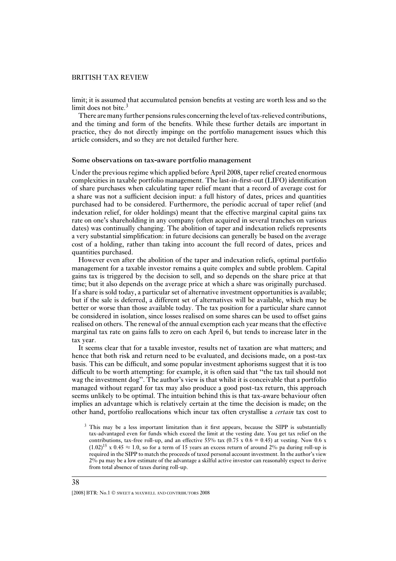limit; it is assumed that accumulated pension benefits at vesting are worth less and so the limit does not bite. $3$ 

There are many further pensions rules concerning the level of tax-relieved contributions, and the timing and form of the benefits. While these further details are important in practice, they do not directly impinge on the portfolio management issues which this article considers, and so they are not detailed further here.

#### **Some observations on tax-aware portfolio management**

Under the previous regime which applied before April 2008, taper relief created enormous complexities in taxable portfolio management. The last-in-first-out (LIFO) identification of share purchases when calculating taper relief meant that a record of average cost for a share was not a sufficient decision input: a full history of dates, prices and quantities purchased had to be considered. Furthermore, the periodic accrual of taper relief (and indexation relief, for older holdings) meant that the effective marginal capital gains tax rate on one's shareholding in any company (often acquired in several tranches on various dates) was continually changing. The abolition of taper and indexation reliefs represents a very substantial simplification: in future decisions can generally be based on the average cost of a holding, rather than taking into account the full record of dates, prices and quantities purchased.

However even after the abolition of the taper and indexation reliefs, optimal portfolio management for a taxable investor remains a quite complex and subtle problem. Capital gains tax is triggered by the decision to sell, and so depends on the share price at that time; but it also depends on the average price at which a share was originally purchased. If a share is sold today, a particular set of alternative investment opportunities is available; but if the sale is deferred, a different set of alternatives will be available, which may be better or worse than those available today. The tax position for a particular share cannot be considered in isolation, since losses realised on some shares can be used to offset gains realised on others. The renewal of the annual exemption each year means that the effective marginal tax rate on gains falls to zero on each April 6, but tends to increase later in the tax year.

It seems clear that for a taxable investor, results net of taxation are what matters; and hence that both risk and return need to be evaluated, and decisions made, on a post-tax basis. This can be difficult, and some popular investment aphorisms suggest that it is too difficult to be worth attempting: for example, it is often said that ''the tax tail should not wag the investment dog''. The author's view is that whilst it is conceivable that a portfolio managed without regard for tax may also produce a good post-tax return, this approach seems unlikely to be optimal. The intuition behind this is that tax-aware behaviour often implies an advantage which is relatively certain at the time the decision is made; on the other hand, portfolio reallocations which incur tax often crystallise a *certain* tax cost to

38

 $3$  This may be a less important limitation than it first appears, because the SIPP is substantially tax-advantaged even for funds which exceed the limit at the vesting date. You get tax relief on the contributions, tax-free roll-up, and an effective 55% tax (0.75 x  $0.6 = 0.45$ ) at vesting. Now 0.6 x  $(1.02)^{15}$  x 0.45  $\approx$  1.0, so for a term of 15 years an excess return of around 2% pa during roll-up is required in the SIPP to match the proceeds of taxed personal account investment. In the author's view 2% pa may be a low estimate of the advantage a skilful active investor can reasonably expect to derive from total absence of taxes during roll-up.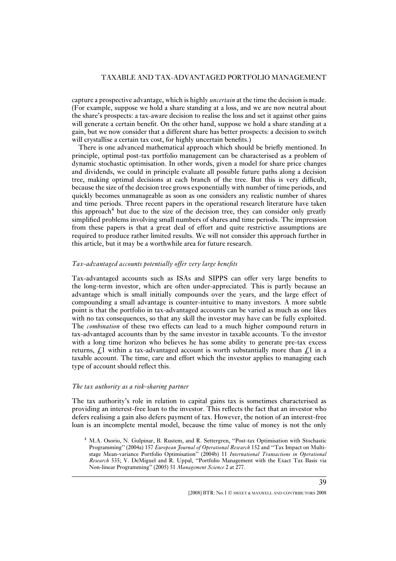capture a prospective advantage, which is highly *uncertain* at the time the decision is made. (For example, suppose we hold a share standing at a loss, and we are now neutral about the share's prospects: a tax-aware decision to realise the loss and set it against other gains will generate a certain benefit. On the other hand, suppose we hold a share standing at a gain, but we now consider that a different share has better prospects: a decision to switch will crystallise a certain tax cost, for highly uncertain benefits.)

There is one advanced mathematical approach which should be briefly mentioned. In principle, optimal post-tax portfolio management can be characterised as a problem of dynamic stochastic optimisation. In other words, given a model for share price changes and dividends, we could in principle evaluate all possible future paths along a decision tree, making optimal decisions at each branch of the tree. But this is very difficult, because the size of the decision tree grows exponentially with number of time periods, and quickly becomes unmanageable as soon as one considers any realistic number of shares and time periods. Three recent papers in the operational research literature have taken this approach<sup>4</sup> but due to the size of the decision tree, they can consider only greatly simplified problems involving small numbers of shares and time periods. The impression from these papers is that a great deal of effort and quite restrictive assumptions are required to produce rather limited results. We will not consider this approach further in this article, but it may be a worthwhile area for future research.

#### *Tax-advantaged accounts potentially offer very large benefits*

Tax-advantaged accounts such as ISAs and SIPPS can offer very large benefits to the long-term investor, which are often under-appreciated. This is partly because an advantage which is small initially compounds over the years, and the large effect of compounding a small advantage is counter-intuitive to many investors. A more subtle point is that the portfolio in tax-advantaged accounts can be varied as much as one likes with no tax consequences, so that any skill the investor may have can be fully exploited. The *combination* of these two effects can lead to a much higher compound return in tax-advantaged accounts than by the same investor in taxable accounts. To the investor with a long time horizon who believes he has some ability to generate pre-tax excess returns,  $f<sub>i</sub>1$  within a tax-advantaged account is worth substantially more than  $f<sub>i</sub>1$  in a taxable account. The time, care and effort which the investor applies to managing each type of account should reflect this.

#### *The tax authority as a risk-sharing partner*

The tax authority's role in relation to capital gains tax is sometimes characterised as providing an interest-free loan to the investor. This reflects the fact that an investor who defers realising a gain also defers payment of tax. However, the notion of an interest-free loan is an incomplete mental model, because the time value of money is not the only

<sup>4</sup> M.A. Osorio, N. Gulpinar, B. Rustem, and R. Settergren, ''Post-tax Optimisation with Stochastic Programming" (2004a) 157 *European Journal of Operational Research* 152 and "Tax Impact on Multistage Mean-variance Portfolio Optimisation'' (2004b) 11 *International Transactions in Operational Research* 535; V. DeMiguel and R. Uppal, ''Portfolio Management with the Exact Tax Basis via Non-linear Programming'' (2005) 51 *Management Science* 2 at 277.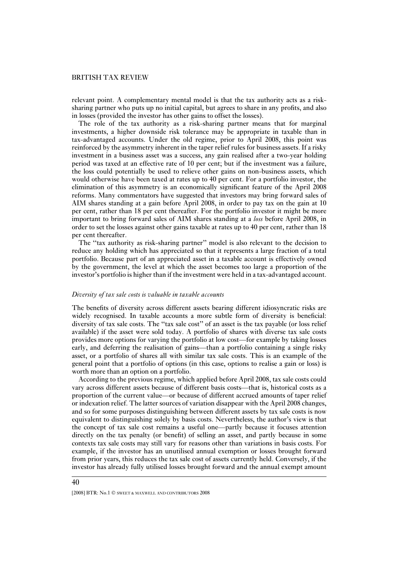relevant point. A complementary mental model is that the tax authority acts as a risksharing partner who puts up no initial capital, but agrees to share in any profits, and also in losses (provided the investor has other gains to offset the losses).

The role of the tax authority as a risk-sharing partner means that for marginal investments, a higher downside risk tolerance may be appropriate in taxable than in tax-advantaged accounts. Under the old regime, prior to April 2008, this point was reinforced by the asymmetry inherent in the taper relief rules for business assets. If a risky investment in a business asset was a success, any gain realised after a two-year holding period was taxed at an effective rate of 10 per cent; but if the investment was a failure, the loss could potentially be used to relieve other gains on non-business assets, which would otherwise have been taxed at rates up to 40 per cent. For a portfolio investor, the elimination of this asymmetry is an economically significant feature of the April 2008 reforms. Many commentators have suggested that investors may bring forward sales of AIM shares standing at a gain before April 2008, in order to pay tax on the gain at 10 per cent, rather than 18 per cent thereafter. For the portfolio investor it might be more important to bring forward sales of AIM shares standing at a *loss* before April 2008, in order to set the losses against other gains taxable at rates up to 40 per cent, rather than 18 per cent thereafter.

The ''tax authority as risk-sharing partner'' model is also relevant to the decision to reduce any holding which has appreciated so that it represents a large fraction of a total portfolio. Because part of an appreciated asset in a taxable account is effectively owned by the government, the level at which the asset becomes too large a proportion of the investor's portfolio is higher than if the investment were held in a tax-advantaged account.

#### *Diversity of tax sale costs is valuable in taxable accounts*

The benefits of diversity across different assets bearing different idiosyncratic risks are widely recognised. In taxable accounts a more subtle form of diversity is beneficial: diversity of tax sale costs. The ''tax sale cost'' of an asset is the tax payable (or loss relief available) if the asset were sold today. A portfolio of shares with diverse tax sale costs provides more options for varying the portfolio at low cost—for example by taking losses early, and deferring the realisation of gains—than a portfolio containing a single risky asset, or a portfolio of shares all with similar tax sale costs. This is an example of the general point that a portfolio of options (in this case, options to realise a gain or loss) is worth more than an option on a portfolio.

According to the previous regime, which applied before April 2008, tax sale costs could vary across different assets because of different basis costs—that is, historical costs as a proportion of the current value—or because of different accrued amounts of taper relief or indexation relief. The latter sources of variation disappear with the April 2008 changes, and so for some purposes distinguishing between different assets by tax sale costs is now equivalent to distinguishing solely by basis costs. Nevertheless, the author's view is that the concept of tax sale cost remains a useful one—partly because it focuses attention directly on the tax penalty (or benefit) of selling an asset, and partly because in some contexts tax sale costs may still vary for reasons other than variations in basis costs. For example, if the investor has an unutilised annual exemption or losses brought forward from prior years, this reduces the tax sale cost of assets currently held. Conversely, if the investor has already fully utilised losses brought forward and the annual exempt amount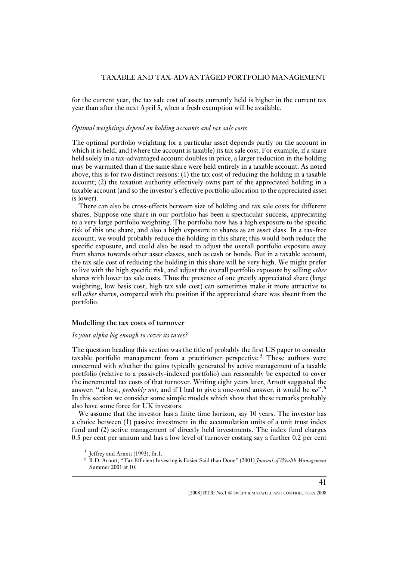for the current year, the tax sale cost of assets currently held is higher in the current tax year than after the next April 5, when a fresh exemption will be available.

#### *Optimal weightings depend on holding accounts and tax sale costs*

The optimal portfolio weighting for a particular asset depends partly on the account in which it is held, and (where the account is taxable) its tax sale cost. For example, if a share held solely in a tax-advantaged account doubles in price, a larger reduction in the holding may be warranted than if the same share were held entirely in a taxable account. As noted above, this is for two distinct reasons: (1) the tax cost of reducing the holding in a taxable account; (2) the taxation authority effectively owns part of the appreciated holding in a taxable account (and so the investor's effective portfolio allocation to the appreciated asset is lower).

There can also be cross-effects between size of holding and tax sale costs for different shares. Suppose one share in our portfolio has been a spectacular success, appreciating to a very large portfolio weighting. The portfolio now has a high exposure to the specific risk of this one share, and also a high exposure to shares as an asset class. In a tax-free account, we would probably reduce the holding in this share; this would both reduce the specific exposure, and could also be used to adjust the overall portfolio exposure away from shares towards other asset classes, such as cash or bonds. But in a taxable account, the tax sale cost of reducing the holding in this share will be very high. We might prefer to live with the high specific risk, and adjust the overall portfolio exposure by selling *other* shares with lower tax sale costs. Thus the presence of one greatly appreciated share (large weighting, low basis cost, high tax sale cost) can sometimes make it more attractive to sell *other* shares, compared with the position if the appreciated share was absent from the portfolio.

#### **Modelling the tax costs of turnover**

#### *Is your alpha big enough to cover its taxes?*

The question heading this section was the title of probably the first US paper to consider taxable portfolio management from a practitioner perspective.<sup>5</sup> These authors were concerned with whether the gains typically generated by active management of a taxable portfolio (relative to a passively-indexed portfolio) can reasonably be expected to cover the incremental tax costs of that turnover. Writing eight years later, Arnott suggested the answer: ''at best, *probably not*, and if I had to give a one-word answer, it would be *no*''.<sup>6</sup> In this section we consider some simple models which show that these remarks probably also have some force for UK investors.

We assume that the investor has a finite time horizon, say 10 years. The investor has a choice between (1) passive investment in the accumulation units of a unit trust index fund and (2) active management of directly held investments. The index fund charges 0.5 per cent per annum and has a low level of turnover costing say a further 0.2 per cent

<sup>&</sup>lt;sup>5</sup> Jeffrey and Arnott (1993), fn.1.

<sup>6</sup> R.D. Arnott, ''Tax Efficient Investing is Easier Said than Done'' (2001) *Journal of Wealth Management* Summer 2001 at 10.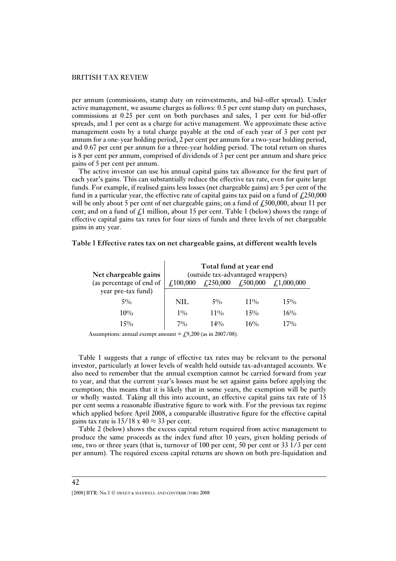per annum (commissions, stamp duty on reinvestments, and bid-offer spread). Under active management, we assume charges as follows: 0.5 per cent stamp duty on purchases, commissions at 0.25 per cent on both purchases and sales, 1 per cent for bid-offer spreads, and 1 per cent as a charge for active management. We approximate these active management costs by a total charge payable at the end of each year of 3 per cent per annum for a one-year holding period, 2 per cent per annum for a two-year holding period, and 0.67 per cent per annum for a three-year holding period. The total return on shares is 8 per cent per annum, comprised of dividends of 3 per cent per annum and share price gains of 5 per cent per annum.

The active investor can use his annual capital gains tax allowance for the first part of each year's gains. This can substantially reduce the effective tax rate, even for quite large funds. For example, if realised gains less losses (net chargeable gains) are 5 per cent of the fund in a particular year, the effective rate of capital gains tax paid on a fund of  $\text{\textsterling}250,000$ will be only about 5 per cent of net chargeable gains; on a fund of  $\ell$ , 500,000, about 11 per cent; and on a fund of  $\oint_{\mathcal{L}} 1$  million, about 15 per cent. Table 1 (below) shows the range of effective capital gains tax rates for four sizes of funds and three levels of net chargeable gains in any year.

#### **Table 1 Effective rates tax on net chargeable gains, at different wealth levels**

| Net chargeable gains     | Total fund at year end<br>(outside tax-advantaged wrappers) |                                                                  |        |                  |  |  |  |
|--------------------------|-------------------------------------------------------------|------------------------------------------------------------------|--------|------------------|--|--|--|
| (as percentage of end of | $\pounds 100,000$                                           | $\sqrt{250,000}$<br>£,500,000<br>$\textit{\textbf{4}}.1,000,000$ |        |                  |  |  |  |
| year pre-tax fund)       |                                                             |                                                                  |        |                  |  |  |  |
| $5\%$                    | NIL                                                         | $5\%$                                                            | $11\%$ | 15%              |  |  |  |
| $10\%$                   | $1\%$                                                       | $11\%$                                                           | $15\%$ | 16%              |  |  |  |
| 15%                      | 7%                                                          | 14%                                                              | $16\%$ | .70 <sub>o</sub> |  |  |  |

Assumptions: annual exempt amount  $\equiv$  £9,200 (as in 2007/08).

Table 1 suggests that a range of effective tax rates may be relevant to the personal investor, particularly at lower levels of wealth held outside tax-advantaged accounts. We also need to remember that the annual exemption cannot be carried forward from year to year, and that the current year's losses must be set against gains before applying the exemption; this means that it is likely that in some years, the exemption will be partly or wholly wasted. Taking all this into account, an effective capital gains tax rate of 15 per cent seems a reasonable illustrative figure to work with. For the previous tax regime which applied before April 2008, a comparable illustrative figure for the effective capital gains tax rate is  $15/18 \times 40 \approx 33$  per cent.

Table 2 (below) shows the excess capital return required from active management to produce the same proceeds as the index fund after 10 years, given holding periods of one, two or three years (that is, turnover of 100 per cent, 50 per cent or 33 1/3 per cent per annum). The required excess capital returns are shown on both pre-liquidation and

<sup>[2008]</sup> BTR: No.1  $\odot$  sweet & MAXWELL AND CONTRIBUTORS 2008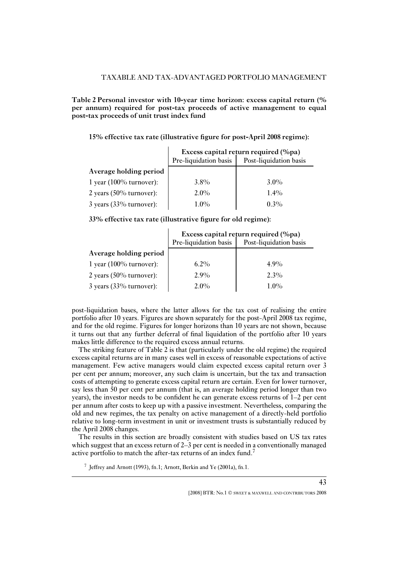**Table 2 Personal investor with 10-year time horizon: excess capital return (% per annum) required for post-tax proceeds of active management to equal post-tax proceeds of unit trust index fund**

**15% effective tax rate (illustrative figure for post-April 2008 regime):**

|                            | Excess capital return required (%pa) |                        |  |  |
|----------------------------|--------------------------------------|------------------------|--|--|
|                            | Pre-liquidation basis                | Post-liquidation basis |  |  |
| Average holding period     |                                      |                        |  |  |
| 1 year (100% turnover):    | $3.8\%$                              | $3.0\%$                |  |  |
| 2 years $(50\%$ turnover): | $2.0\%$                              | $1.4\%$                |  |  |
| $3$ years (33% turnover):  | $1.0\%$                              | $0.3\%$                |  |  |

**33% effective tax rate (illustrative figure for old regime):**

|                            | Excess capital return required (%pa) |                        |  |  |
|----------------------------|--------------------------------------|------------------------|--|--|
|                            | Pre-liquidation basis                | Post-liquidation basis |  |  |
| Average holding period     |                                      |                        |  |  |
| 1 year $(100\%$ turnover): | $6.2\%$                              | $4.9\%$                |  |  |
| 2 years $(50\%$ turnover): | 2.9%                                 | $2.3\%$                |  |  |
| $3$ years (33% turnover):  | $2.0\%$                              | $1.0\%$                |  |  |

post-liquidation bases, where the latter allows for the tax cost of realising the entire portfolio after 10 years. Figures are shown separately for the post-April 2008 tax regime, and for the old regime. Figures for longer horizons than 10 years are not shown, because it turns out that any further deferral of final liquidation of the portfolio after 10 years makes little difference to the required excess annual returns.

The striking feature of Table 2 is that (particularly under the old regime) the required excess capital returns are in many cases well in excess of reasonable expectations of active management. Few active managers would claim expected excess capital return over 3 per cent per annum; moreover, any such claim is uncertain, but the tax and transaction costs of attempting to generate excess capital return are certain. Even for lower turnover, say less than 50 per cent per annum (that is, an average holding period longer than two years), the investor needs to be confident he can generate excess returns of 1–2 per cent per annum after costs to keep up with a passive investment. Nevertheless, comparing the old and new regimes, the tax penalty on active management of a directly-held portfolio relative to long-term investment in unit or investment trusts is substantially reduced by the April 2008 changes.

The results in this section are broadly consistent with studies based on US tax rates which suggest that an excess return of 2–3 per cent is needed in a conventionally managed active portfolio to match the after-tax returns of an index fund.<sup>7</sup>

<sup>7</sup> Jeffrey and Arnott (1993), fn.1; Arnott, Berkin and Ye (2001a), fn.1.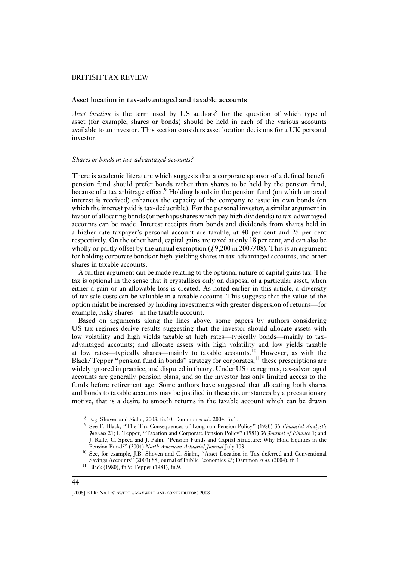#### **Asset location in tax-advantaged and taxable accounts**

Asset location is the term used by US authors<sup>8</sup> for the question of which type of asset (for example, shares or bonds) should be held in each of the various accounts available to an investor. This section considers asset location decisions for a UK personal investor.

#### *Shares or bonds in tax-advantaged accounts?*

There is academic literature which suggests that a corporate sponsor of a defined benefit pension fund should prefer bonds rather than shares to be held by the pension fund, because of a tax arbitrage effect.<sup>9</sup> Holding bonds in the pension fund (on which untaxed interest is received) enhances the capacity of the company to issue its own bonds (on which the interest paid is tax-deductible). For the personal investor, a similar argument in favour of allocating bonds (or perhaps shares which pay high dividends) to tax-advantaged accounts can be made. Interest receipts from bonds and dividends from shares held in a higher-rate taxpayer's personal account are taxable, at 40 per cent and 25 per cent respectively. On the other hand, capital gains are taxed at only 18 per cent, and can also be wholly or partly offset by the annual exemption  $(\text{\textsterling}9,200 \text{ in } 2007/08)$ . This is an argument for holding corporate bonds or high-yielding shares in tax-advantaged accounts, and other shares in taxable accounts.

A further argument can be made relating to the optional nature of capital gains tax. The tax is optional in the sense that it crystallises only on disposal of a particular asset, when either a gain or an allowable loss is created. As noted earlier in this article, a diversity of tax sale costs can be valuable in a taxable account. This suggests that the value of the option might be increased by holding investments with greater dispersion of returns—for example, risky shares—in the taxable account.

Based on arguments along the lines above, some papers by authors considering US tax regimes derive results suggesting that the investor should allocate assets with low volatility and high yields taxable at high rates—typically bonds—mainly to taxadvantaged accounts; and allocate assets with high volatility and low yields taxable at low rates—typically shares—mainly to taxable accounts.<sup>10</sup> However, as with the Black/Tepper "pension fund in bonds" strategy for corporates, $<sup>11</sup>$  these prescriptions are</sup> widely ignored in practice, and disputed in theory. Under US tax regimes, tax-advantaged accounts are generally pension plans, and so the investor has only limited access to the funds before retirement age. Some authors have suggested that allocating both shares and bonds to taxable accounts may be justified in these circumstances by a precautionary motive, that is a desire to smooth returns in the taxable account which can be drawn

<sup>8</sup> E.g. Shoven and Sialm, 2003, fn.10; Dammon *et al*., 2004, fn.1.

<sup>9</sup> See F. Black, ''The Tax Consequences of Long-run Pension Policy'' (1980) 36 *Financial Analyst's Journal* 21; I. Tepper, ''Taxation and Corporate Pension Policy'' (1981) 36 *Journal of Finance* 1; and J. Ralfe, C. Speed and J. Palin, ''Pension Funds and Capital Structure: Why Hold Equities in the Pension Fund?'' (2004) *North American Actuarial Journal* July 103.

<sup>10</sup> See, for example, J.B. Shoven and C. Sialm, ''Asset Location in Tax-deferred and Conventional Savings Accounts'' (2003) 88 Journal of Public Economics 23; Dammon *et al.* (2004), fn.1.

<sup>11</sup> Black (1980), fn.9; Tepper (1981), fn.9.

<sup>[2008]</sup> BTR: No.1  $\odot$  sweet & MAXWELL AND CONTRIBUTORS 2008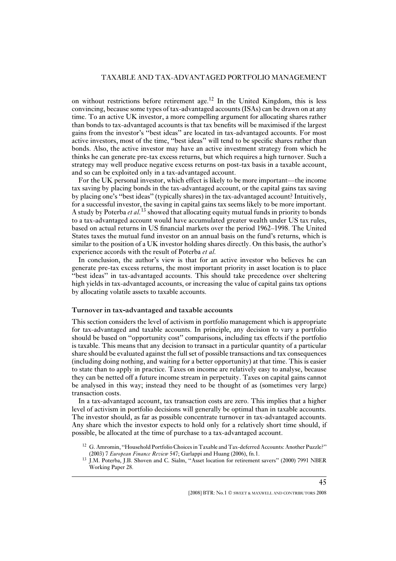on without restrictions before retirement age.<sup>12</sup> In the United Kingdom, this is less convincing, because some types of tax-advantaged accounts (ISAs) can be drawn on at any time. To an active UK investor, a more compelling argument for allocating shares rather than bonds to tax-advantaged accounts is that tax benefits will be maximised if the largest gains from the investor's ''best ideas'' are located in tax-advantaged accounts. For most active investors, most of the time, ''best ideas'' will tend to be specific shares rather than bonds. Also, the active investor may have an active investment strategy from which he thinks he can generate pre-tax excess returns, but which requires a high turnover. Such a strategy may well produce negative excess returns on post-tax basis in a taxable account, and so can be exploited only in a tax-advantaged account.

For the UK personal investor, which effect is likely to be more important—the income tax saving by placing bonds in the tax-advantaged account, or the capital gains tax saving by placing one's ''best ideas'' (typically shares) in the tax-advantaged account? Intuitively, for a successful investor, the saving in capital gains tax seems likely to be more important. A study by Poterba *et al.*<sup>13</sup> showed that allocating equity mutual funds in priority to bonds to a tax-advantaged account would have accumulated greater wealth under US tax rules, based on actual returns in US financial markets over the period 1962–1998. The United States taxes the mutual fund investor on an annual basis on the fund's returns, which is similar to the position of a UK investor holding shares directly. On this basis, the author's experience accords with the result of Poterba *et al.*

In conclusion, the author's view is that for an active investor who believes he can generate pre-tax excess returns, the most important priority in asset location is to place ''best ideas'' in tax-advantaged accounts. This should take precedence over sheltering high yields in tax-advantaged accounts, or increasing the value of capital gains tax options by allocating volatile assets to taxable accounts.

#### **Turnover in tax-advantaged and taxable accounts**

This section considers the level of activism in portfolio management which is appropriate for tax-advantaged and taxable accounts. In principle, any decision to vary a portfolio should be based on ''opportunity cost'' comparisons, including tax effects if the portfolio is taxable. This means that any decision to transact in a particular quantity of a particular share should be evaluated against the full set of possible transactions and tax consequences (including doing nothing, and waiting for a better opportunity) at that time. This is easier to state than to apply in practice. Taxes on income are relatively easy to analyse, because they can be netted off a future income stream in perpetuity. Taxes on capital gains cannot be analysed in this way; instead they need to be thought of as (sometimes very large) transaction costs.

In a tax-advantaged account, tax transaction costs are zero. This implies that a higher level of activism in portfolio decisions will generally be optimal than in taxable accounts. The investor should, as far as possible concentrate turnover in tax-advantaged accounts. Any share which the investor expects to hold only for a relatively short time should, if possible, be allocated at the time of purchase to a tax-advantaged account.

<sup>&</sup>lt;sup>12</sup> G. Amromin, "Household Portfolio Choices in Taxable and Tax-deferred Accounts: Another Puzzle?" (2003) 7 *European Finance Review* 547; Garlappi and Huang (2006), fn.1.

<sup>&</sup>lt;sup>13</sup> J.M. Poterba, J.B. Shoven and C. Sialm, "Asset location for retirement savers" (2000) 7991 NBER Working Paper 28.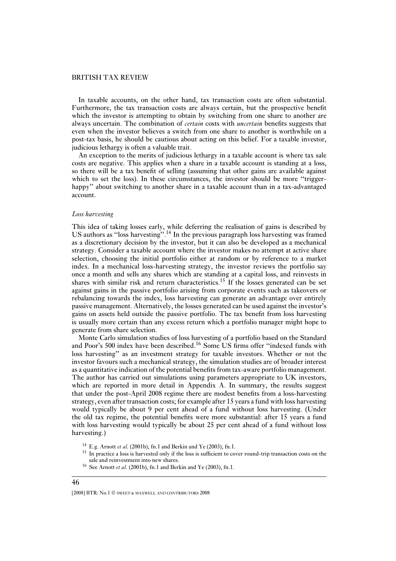In taxable accounts, on the other hand, tax transaction costs are often substantial. Furthermore, the tax transaction costs are always certain, but the prospective benefit which the investor is attempting to obtain by switching from one share to another are always uncertain. The combination of *certain* costs with *uncertain* benefits suggests that even when the investor believes a switch from one share to another is worthwhile on a post-tax basis, he should be cautious about acting on this belief. For a taxable investor, judicious lethargy is often a valuable trait.

An exception to the merits of judicious lethargy in a taxable account is where tax sale costs are negative. This applies when a share in a taxable account is standing at a loss, so there will be a tax benefit of selling (assuming that other gains are available against which to set the loss). In these circumstances, the investor should be more "triggerhappy" about switching to another share in a taxable account than in a tax-advantaged account.

#### *Loss harvesting*

This idea of taking losses early, while deferring the realisation of gains is described by US authors as "loss harvesting".<sup>14</sup> In the previous paragraph loss harvesting was framed as a discretionary decision by the investor, but it can also be developed as a mechanical strategy. Consider a taxable account where the investor makes no attempt at active share selection, choosing the initial portfolio either at random or by reference to a market index. In a mechanical loss-harvesting strategy, the investor reviews the portfolio say once a month and sells any shares which are standing at a capital loss, and reinvests in shares with similar risk and return characteristics.<sup>15</sup> If the losses generated can be set against gains in the passive portfolio arising from corporate events such as takeovers or rebalancing towards the index, loss harvesting can generate an advantage over entirely passive management. Alternatively, the losses generated can be used against the investor's gains on assets held outside the passive portfolio. The tax benefit from loss harvesting is usually more certain than any excess return which a portfolio manager might hope to generate from share selection.

Monte Carlo simulation studies of loss harvesting of a portfolio based on the Standard and Poor's  $500$  index have been described.<sup>16</sup> Some US firms offer "indexed funds with loss harvesting'' as an investment strategy for taxable investors. Whether or not the investor favours such a mechanical strategy, the simulation studies are of broader interest as a quantitative indication of the potential benefits from tax-aware portfolio management. The author has carried out simulations using parameters appropriate to UK investors, which are reported in more detail in Appendix A. In summary, the results suggest that under the post-April 2008 regime there are modest benefits from a loss-harvesting strategy, even after transaction costs; for example after 15 years a fund with loss harvesting would typically be about 9 per cent ahead of a fund without loss harvesting. (Under the old tax regime, the potential benefits were more substantial: after 15 years a fund with loss harvesting would typically be about 25 per cent ahead of a fund without loss harvesting.)

<sup>14</sup> E.g. Arnott *et al.* (2001b), fn.1 and Berkin and Ye (2003), fn.1.

<sup>&</sup>lt;sup>15</sup> In practice a loss is harvested only if the loss is sufficient to cover round-trip transaction costs on the sale and reinvestment into new shares.

<sup>16</sup> See Arnott *et al.* (2001b), fn.1 and Berkin and Ye (2003), fn.1.

<sup>[2008]</sup> BTR: No.1  $\odot$  sweet & MAXWELL AND CONTRIBUTORS 2008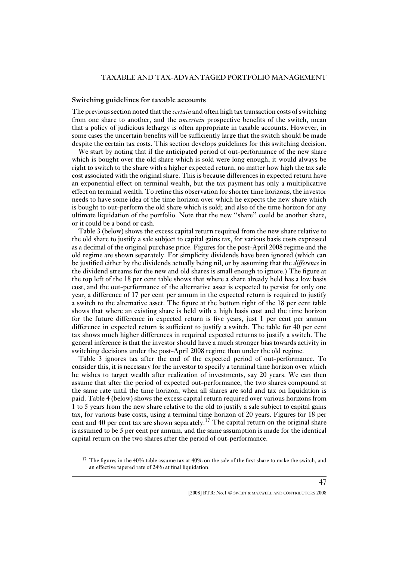#### **Switching guidelines for taxable accounts**

The previous section noted that the *certain* and often high tax transaction costs of switching from one share to another, and the *uncertain* prospective benefits of the switch, mean that a policy of judicious lethargy is often appropriate in taxable accounts. However, in some cases the uncertain benefits will be sufficiently large that the switch should be made despite the certain tax costs. This section develops guidelines for this switching decision.

We start by noting that if the anticipated period of out-performance of the new share which is bought over the old share which is sold were long enough, it would always be right to switch to the share with a higher expected return, no matter how high the tax sale cost associated with the original share. This is because differences in expected return have an exponential effect on terminal wealth, but the tax payment has only a multiplicative effect on terminal wealth. To refine this observation for shorter time horizons, the investor needs to have some idea of the time horizon over which he expects the new share which is bought to out-perform the old share which is sold; and also of the time horizon for any ultimate liquidation of the portfolio. Note that the new ''share'' could be another share, or it could be a bond or cash.

Table 3 (below) shows the excess capital return required from the new share relative to the old share to justify a sale subject to capital gains tax, for various basis costs expressed as a decimal of the original purchase price. Figures for the post-April 2008 regime and the old regime are shown separately. For simplicity dividends have been ignored (which can be justified either by the dividends actually being nil, or by assuming that the *difference* in the dividend streams for the new and old shares is small enough to ignore.) The figure at the top left of the 18 per cent table shows that where a share already held has a low basis cost, and the out-performance of the alternative asset is expected to persist for only one year, a difference of 17 per cent per annum in the expected return is required to justify a switch to the alternative asset. The figure at the bottom right of the 18 per cent table shows that where an existing share is held with a high basis cost and the time horizon for the future difference in expected return is five years, just 1 per cent per annum difference in expected return is sufficient to justify a switch. The table for 40 per cent tax shows much higher differences in required expected returns to justify a switch. The general inference is that the investor should have a much stronger bias towards activity in switching decisions under the post-April 2008 regime than under the old regime.

Table 3 ignores tax after the end of the expected period of out-performance. To consider this, it is necessary for the investor to specify a terminal time horizon over which he wishes to target wealth after realization of investments, say 20 years. We can then assume that after the period of expected out-performance, the two shares compound at the same rate until the time horizon, when all shares are sold and tax on liquidation is paid. Table 4 (below) shows the excess capital return required over various horizons from 1 to 5 years from the new share relative to the old to justify a sale subject to capital gains tax, for various base costs, using a terminal time horizon of 20 years. Figures for 18 per cent and 40 per cent tax are shown separately.<sup>17</sup> The capital return on the original share is assumed to be 5 per cent per annum, and the same assumption is made for the identical capital return on the two shares after the period of out-performance.

<sup>&</sup>lt;sup>17</sup> The figures in the 40% table assume tax at  $40\%$  on the sale of the first share to make the switch, and an effective tapered rate of 24% at final liquidation.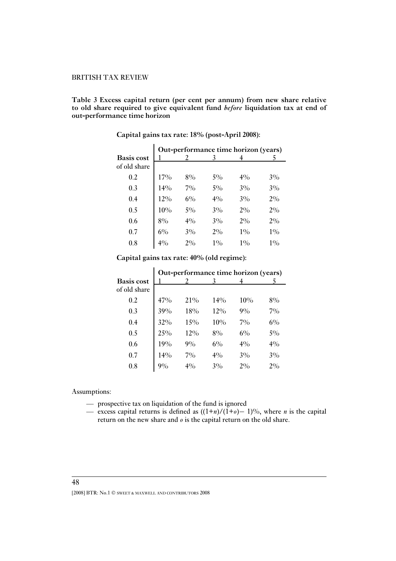**Table 3 Excess capital return (per cent per annum) from new share relative to old share required to give equivalent fund** *before* **liquidation tax at end of out-performance time horizon**

|                   |       |       |       | Out-performance time horizon (years) |       |
|-------------------|-------|-------|-------|--------------------------------------|-------|
| <b>Basis cost</b> |       |       | 3     |                                      | 5     |
| of old share      |       |       |       |                                      |       |
| 0.2               | 17%   | $8\%$ | $5\%$ | $4\%$                                | $3\%$ |
| 0.3               | 14%   | $7\%$ | 5%    | 3%                                   | $3\%$ |
| 0.4               | 12%   | $6\%$ | $4\%$ | 3%                                   | $2\%$ |
| 0.5               | 10%   | $5\%$ | 3%    | $2\%$                                | $2\%$ |
| 0.6               | 8%    | $4\%$ | 3%    | $2\%$                                | $2\%$ |
| 0.7               | $6\%$ | $3\%$ | $2\%$ | $1\%$                                | $1\%$ |
| 0.8               | $4\%$ | $2\%$ | $1\%$ | $1\%$                                | $1\%$ |

**Capital gains tax rate: 18% (post-April 2008):**

#### **Capital gains tax rate: 40% (old regime):**

|                                   |       |        |        | Out-performance time horizon (years) |       |
|-----------------------------------|-------|--------|--------|--------------------------------------|-------|
| <b>Basis cost</b><br>of old share |       |        | 3      |                                      | 5     |
| 0.2                               | 47%   | 21\%   | $14\%$ | 10%                                  | 8%    |
| 0.3                               | 39%   | 18%    | 12%    | $9\%$                                | $7\%$ |
| 0.4                               | 32%   | 15%    | $10\%$ | $7\%$                                | $6\%$ |
| 0.5                               | 25%   | $12\%$ | 8%     | $6\%$                                | $5\%$ |
| 0.6                               | 19%   | $9\%$  | $6\%$  | $4\%$                                | $4\%$ |
| 0.7                               | 14%   | $7\%$  | 4%     | 3%                                   | $3\%$ |
| 0.8                               | $9\%$ | $4\%$  | $3\%$  | 2%                                   | $2\%$ |

Assumptions:

- prospective tax on liquidation of the fund is ignored
- excess capital returns is defined as ((1+*n*)/(1+*o*)− 1)%, where *n* is the capital return on the new share and *o* is the capital return on the old share.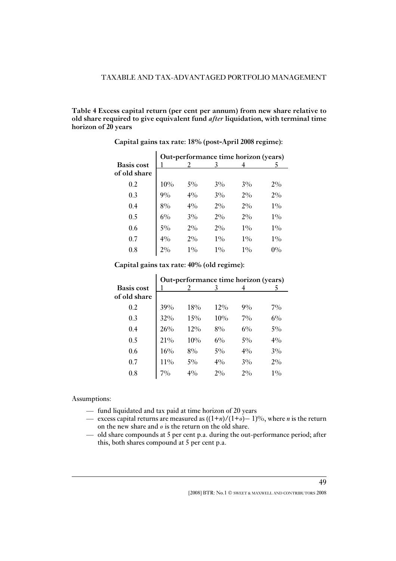**Table 4 Excess capital return (per cent per annum) from new share relative to old share required to give equivalent fund** *after* **liquidation, with terminal time horizon of 20 years**

|                   | Out-performance time horizon (years) |       |       |       |       |
|-------------------|--------------------------------------|-------|-------|-------|-------|
| <b>Basis</b> cost |                                      |       | 3     |       |       |
| of old share      |                                      |       |       |       |       |
| 0.2               | $10\%$                               | $5\%$ | $3\%$ | 3%    | $2\%$ |
| 0.3               | $9\%$                                | $4\%$ | $3\%$ | $2\%$ | $2\%$ |
| 0.4               | 8%                                   | $4\%$ | $2\%$ | $2\%$ | $1\%$ |
| 0.5               | $6\%$                                | 3%    | $2\%$ | $2\%$ | $1\%$ |
| 0.6               | $5\%$                                | $2\%$ | $2\%$ | $1\%$ | $1\%$ |
| 0.7               | 4%                                   | $2\%$ | $1\%$ | $1\%$ | $1\%$ |
| 0.8               | 2%                                   | $1\%$ | $1\%$ | $1\%$ | $0\%$ |

**Capital gains tax rate: 18% (post-April 2008 regime):**

 $\mathcal{L}$ 

 $\mathbf{r}$ 

**Capital gains tax rate: 40% (old regime):**

|                                   | Out-performance time horizon (years) |       |       |       |       |
|-----------------------------------|--------------------------------------|-------|-------|-------|-------|
| <b>Basis cost</b><br>of old share |                                      |       | 3     |       |       |
| 0.2                               | 39%                                  | 18%   | 12%   | $9\%$ | $7\%$ |
| 0.3                               | 32%                                  | 15%   | 10%   | $7\%$ | $6\%$ |
| 0.4                               | 26%                                  | 12%   | 8%    | $6\%$ | $5\%$ |
| 0.5                               | 21%                                  | 10%   | $6\%$ | $5\%$ | $4\%$ |
| 0.6                               | 16%                                  | $8\%$ | $5\%$ | $4\%$ | $3\%$ |
| 0.7                               | 11%                                  | $5\%$ | $4\%$ | $3\%$ | 2%    |
| 0.8                               | $7\%$                                | $4\%$ | 2%    | 2%    | $1\%$ |

Assumptions:

- fund liquidated and tax paid at time horizon of 20 years
- excess capital returns are measured as ((1+*n*)/(1+*o*)− 1)%, where *n* is the return on the new share and *o* is the return on the old share.
- old share compounds at 5 per cent p.a. during the out-performance period; after this, both shares compound at 5 per cent p.a.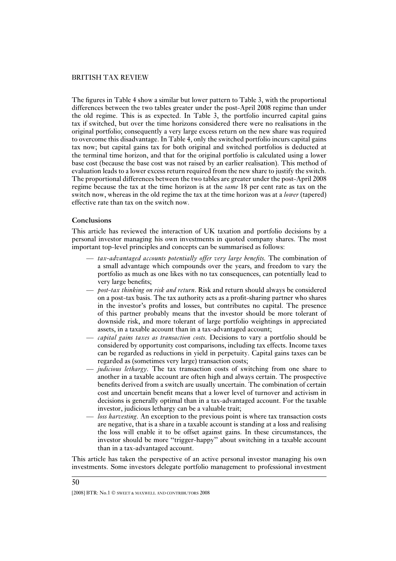The figures in Table 4 show a similar but lower pattern to Table 3, with the proportional differences between the two tables greater under the post-April 2008 regime than under the old regime. This is as expected. In Table 3, the portfolio incurred capital gains tax if switched, but over the time horizons considered there were no realisations in the original portfolio; consequently a very large excess return on the new share was required to overcome this disadvantage. In Table 4, only the switched portfolio incurs capital gains tax now; but capital gains tax for both original and switched portfolios is deducted at the terminal time horizon, and that for the original portfolio is calculated using a lower base cost (because the base cost was not raised by an earlier realisation). This method of evaluation leads to a lower excess return required from the new share to justify the switch. The proportional differences between the two tables are greater under the post-April 2008 regime because the tax at the time horizon is at the *same* 18 per cent rate as tax on the switch now, whereas in the old regime the tax at the time horizon was at a *lower* (tapered) effective rate than tax on the switch now.

#### **Conclusions**

This article has reviewed the interaction of UK taxation and portfolio decisions by a personal investor managing his own investments in quoted company shares. The most important top-level principles and concepts can be summarised as follows:

- *tax-advantaged accounts potentially offer very large benefits.* The combination of a small advantage which compounds over the years, and freedom to vary the portfolio as much as one likes with no tax consequences, can potentially lead to very large benefits;
- *post-tax thinking on risk and return*. Risk and return should always be considered on a post-tax basis. The tax authority acts as a profit-sharing partner who shares in the investor's profits and losses, but contributes no capital. The presence of this partner probably means that the investor should be more tolerant of downside risk, and more tolerant of large portfolio weightings in appreciated assets, in a taxable account than in a tax-advantaged account;
- *capital gains taxes as transaction costs.* Decisions to vary a portfolio should be considered by opportunity cost comparisons, including tax effects. Income taxes can be regarded as reductions in yield in perpetuity. Capital gains taxes can be regarded as (sometimes very large) transaction costs;
- *judicious lethargy.* The tax transaction costs of switching from one share to another in a taxable account are often high and always certain. The prospective benefits derived from a switch are usually uncertain. The combination of certain cost and uncertain benefit means that a lower level of turnover and activism in decisions is generally optimal than in a tax-advantaged account. For the taxable investor, judicious lethargy can be a valuable trait;
- *loss harvesting.* An exception to the previous point is where tax transaction costs are negative, that is a share in a taxable account is standing at a loss and realising the loss will enable it to be offset against gains. In these circumstances, the investor should be more ''trigger-happy'' about switching in a taxable account than in a tax-advantaged account.

This article has taken the perspective of an active personal investor managing his own investments. Some investors delegate portfolio management to professional investment

<sup>[2008]</sup> BTR: No.1  $\odot$  sweet & MAXWELL AND CONTRIBUTORS 2008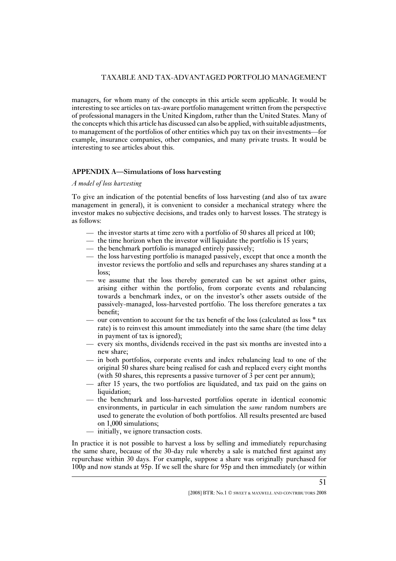managers, for whom many of the concepts in this article seem applicable. It would be interesting to see articles on tax-aware portfolio management written from the perspective of professional managers in the United Kingdom, rather than the United States. Many of the concepts which this article has discussed can also be applied, with suitable adjustments, to management of the portfolios of other entities which pay tax on their investments—for example, insurance companies, other companies, and many private trusts. It would be interesting to see articles about this.

#### **APPENDIX A—Simulations of loss harvesting**

#### *A model of loss harvesting*

To give an indication of the potential benefits of loss harvesting (and also of tax aware management in general), it is convenient to consider a mechanical strategy where the investor makes no subjective decisions, and trades only to harvest losses. The strategy is as follows:

- the investor starts at time zero with a portfolio of 50 shares all priced at 100;
- the time horizon when the investor will liquidate the portfolio is 15 years;
- the benchmark portfolio is managed entirely passively;
- the loss harvesting portfolio is managed passively, except that once a month the investor reviews the portfolio and sells and repurchases any shares standing at a loss;
- we assume that the loss thereby generated can be set against other gains, arising either within the portfolio, from corporate events and rebalancing towards a benchmark index, or on the investor's other assets outside of the passively-managed, loss-harvested portfolio. The loss therefore generates a tax benefit;
- our convention to account for the tax benefit of the loss (calculated as loss  $*$  tax rate) is to reinvest this amount immediately into the same share (the time delay in payment of tax is ignored);
- every six months, dividends received in the past six months are invested into a new share;
- in both portfolios, corporate events and index rebalancing lead to one of the original 50 shares share being realised for cash and replaced every eight months (with 50 shares, this represents a passive turnover of 3 per cent per annum);
- after 15 years, the two portfolios are liquidated, and tax paid on the gains on liquidation;
- the benchmark and loss-harvested portfolios operate in identical economic environments, in particular in each simulation the *same* random numbers are used to generate the evolution of both portfolios. All results presented are based on 1,000 simulations;
- initially, we ignore transaction costs.

In practice it is not possible to harvest a loss by selling and immediately repurchasing the same share, because of the 30-day rule whereby a sale is matched first against any repurchase within 30 days. For example, suppose a share was originally purchased for 100p and now stands at 95p. If we sell the share for 95p and then immediately (or within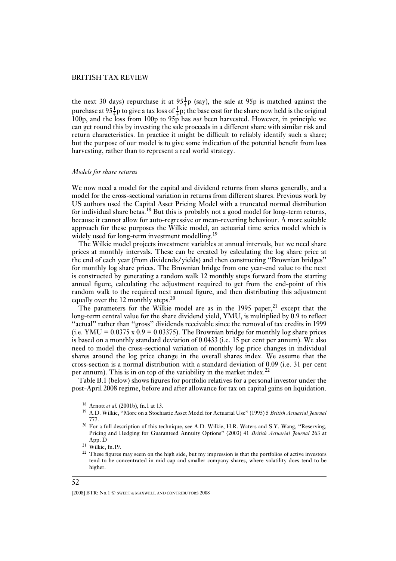the next 30 days) repurchase it at  $95\frac{1}{4}p$  (say), the sale at 95p is matched against the purchase at  $95\frac{1}{4}$ p to give a tax loss of  $\frac{1}{4}$ p; the base cost for the share now held is the original 100p, and the loss from 100p to 95p has *not* been harvested. However, in principle we can get round this by investing the sale proceeds in a different share with similar risk and return characteristics. In practice it might be difficult to reliably identify such a share; but the purpose of our model is to give some indication of the potential benefit from loss harvesting, rather than to represent a real world strategy.

#### *Models for share returns*

We now need a model for the capital and dividend returns from shares generally, and a model for the cross-sectional variation in returns from different shares. Previous work by US authors used the Capital Asset Pricing Model with a truncated normal distribution for individual share betas.<sup>18</sup> But this is probably not a good model for long-term returns, because it cannot allow for auto-regressive or mean-reverting behaviour. A more suitable approach for these purposes the Wilkie model, an actuarial time series model which is widely used for long-term investment modelling.<sup>19</sup>

The Wilkie model projects investment variables at annual intervals, but we need share prices at monthly intervals. These can be created by calculating the log share price at the end of each year (from dividends/yields) and then constructing ''Brownian bridges'' for monthly log share prices. The Brownian bridge from one year-end value to the next is constructed by generating a random walk 12 monthly steps forward from the starting annual figure, calculating the adjustment required to get from the end-point of this random walk to the required next annual figure, and then distributing this adjustment equally over the 12 monthly steps.<sup>20</sup>

The parameters for the Wilkie model are as in the  $1995$  paper,<sup>21</sup> except that the long-term central value for the share dividend yield, YMU, is multiplied by 0.9 to reflect ''actual'' rather than ''gross'' dividends receivable since the removal of tax credits in 1999 (i.e. YMU =  $0.0375 \times 0.9 = 0.03375$ ). The Brownian bridge for monthly log share prices is based on a monthly standard deviation of 0.0433 (i.e. 15 per cent per annum). We also need to model the cross-sectional variation of monthly log price changes in individual shares around the log price change in the overall shares index. We assume that the cross-section is a normal distribution with a standard deviation of 0.09 (i.e. 31 per cent per annum). This is in on top of the variability in the market index.<sup>22</sup>

Table B.1 (below) shows figures for portfolio relatives for a personal investor under the post-April 2008 regime, before and after allowance for tax on capital gains on liquidation.

- <sup>19</sup> A.D. Wilkie, ''More on a Stochastic Asset Model for Actuarial Use'' (1995) 5 *British Actuarial Journal* 777.
- <sup>20</sup> For a full description of this technique, see A.D. Wilkie, H.R. Waters and S.Y. Wang, "Reserving, Pricing and Hedging for Guaranteed Annuity Options'' (2003) 41 *British Actuarial Journal* 263 at App. D

<sup>18</sup> Arnott *et al.* (2001b), fn.1 at 13.

 $21$  Wilkie, fn.19.

<sup>&</sup>lt;sup>22</sup> These figures may seem on the high side, but my impression is that the portfolios of active investors tend to be concentrated in mid-cap and smaller company shares, where volatility does tend to be higher.

<sup>[2008]</sup> BTR: No.1  $\odot$  sweet & maxwell and contributors 2008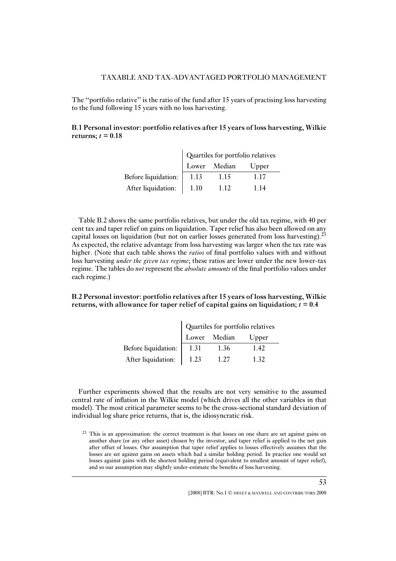The ''portfolio relative'' is the ratio of the fund after 15 years of practising loss harvesting to the fund following 15 years with no loss harvesting.

#### **B.1 Personal investor: portfolio relatives after 15 years of loss harvesting, Wilkie** returns;  $t = 0.18$

|                            | Quartiles for portfolio relatives |      |      |  |  |
|----------------------------|-----------------------------------|------|------|--|--|
|                            | Lower Median Upper                |      |      |  |  |
| Before liquidation:   1.13 |                                   | 1.15 | 1.17 |  |  |
| After liquidation: 1.10    |                                   | 1.12 | 1 14 |  |  |

Table B.2 shows the same portfolio relatives, but under the old tax regime, with 40 per cent tax and taper relief on gains on liquidation. Taper relief has also been allowed on any capital losses on liquidation (but not on earlier losses generated from loss harvesting).<sup>23</sup> As expected, the relative advantage from loss harvesting was larger when the tax rate was higher. (Note that each table shows the *ratios* of final portfolio values with and without loss harvesting *under the given tax regime*; these ratios are lower under the new lower-tax regime. The tables do *not* represent the *absolute amounts* of the final portfolio values under each regime.)

#### **B.2 Personal investor: portfolio relatives after 15 years of loss harvesting, Wilkie returns, with allowance for taper relief of capital gains on liquidation;** *t* **= 0.4**

|                     | Quartiles for portfolio relatives |              |       |  |
|---------------------|-----------------------------------|--------------|-------|--|
|                     |                                   | Lower Median | Upper |  |
| Before liquidation: | 1.31                              | 1.36         | 1.42  |  |
| After liquidation:  | 1.23                              | 1.27         | 1.32  |  |

Further experiments showed that the results are not very sensitive to the assumed central rate of inflation in the Wilkie model (which drives all the other variables in that model). The most critical parameter seems to be the cross-sectional standard deviation of individual log share price returns, that is, the idiosyncratic risk.

 $2<sup>23</sup>$  This is an approximation: the correct treatment is that losses on one share are set against gains on another share (or any other asset) chosen by the investor, and taper relief is applied to the net gain after offset of losses. Our assumption that taper relief applies to losses effectively assumes that the losses are set against gains on assets which had a similar holding period. In practice one would set losses against gains with the shortest holding period (equivalent to smallest amount of taper relief), and so our assumption may slightly under-estimate the benefits of loss harvesting.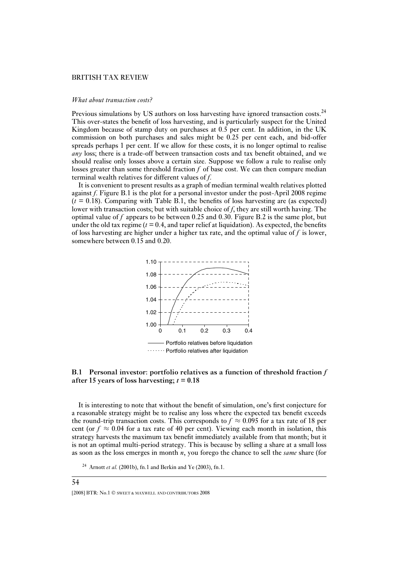#### *What about transaction costs?*

Previous simulations by US authors on loss harvesting have ignored transaction costs.<sup>24</sup> This over-states the benefit of loss harvesting, and is particularly suspect for the United Kingdom because of stamp duty on purchases at 0.5 per cent. In addition, in the UK commission on both purchases and sales might be 0.25 per cent each, and bid-offer spreads perhaps 1 per cent. If we allow for these costs, it is no longer optimal to realise *any* loss; there is a trade-off between transaction costs and tax benefit obtained, and we should realise only losses above a certain size. Suppose we follow a rule to realise only losses greater than some threshold fraction *f* of base cost. We can then compare median terminal wealth relatives for different values of *f*.

It is convenient to present results as a graph of median terminal wealth relatives plotted against *f*. Figure B.1 is the plot for a personal investor under the post-April 2008 regime  $(t = 0.18)$ . Comparing with Table B.1, the benefits of loss harvesting are (as expected) lower with transaction costs; but with suitable choice of *f*, they are still worth having. The optimal value of *f* appears to be between 0.25 and 0.30. Figure B.2 is the same plot, but under the old tax regime  $(t = 0.4$ , and taper relief at liquidation). As expected, the benefits of loss harvesting are higher under a higher tax rate, and the optimal value of *f* is lower, somewhere between 0.15 and 0.20.



#### **B.1 Personal investor: portfolio relatives as a function of threshold fraction** *f* **after 15 years of loss harvesting;** *t* **= 0.18**

It is interesting to note that without the benefit of simulation, one's first conjecture for a reasonable strategy might be to realise any loss where the expected tax benefit exceeds the round-trip transaction costs. This corresponds to  $f \approx 0.095$  for a tax rate of 18 per cent (or  $f \approx 0.04$  for a tax rate of 40 per cent). Viewing each month in isolation, this strategy harvests the maximum tax benefit immediately available from that month; but it is not an optimal multi-period strategy. This is because by selling a share at a small loss as soon as the loss emerges in month *n*, you forego the chance to sell the *same* share (for

<sup>24</sup> Arnott *et al.* (2001b), fn.1 and Berkin and Ye (2003), fn.1.

<sup>[2008]</sup> BTR: No.1  $\odot$  sweet & MAXWELL AND CONTRIBUTORS 2008